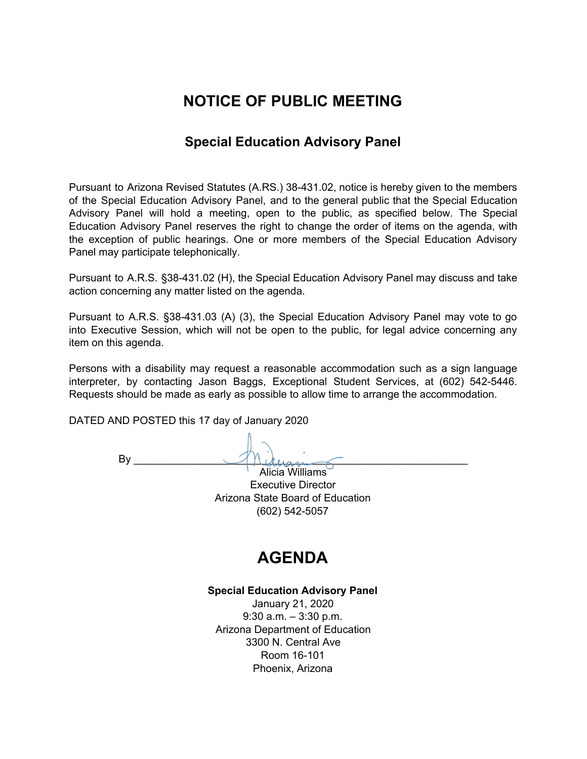# **NOTICE OF PUBLIC MEETING**

## **Special Education Advisory Panel**

Pursuant to Arizona Revised Statutes (A.RS.) 38-431.02, notice is hereby given to the members of the Special Education Advisory Panel, and to the general public that the Special Education Advisory Panel will hold a meeting, open to the public, as specified below. The Special Education Advisory Panel reserves the right to change the order of items on the agenda, with the exception of public hearings. One or more members of the Special Education Advisory Panel may participate telephonically.

Pursuant to A.R.S. §38-431.02 (H), the Special Education Advisory Panel may discuss and take action concerning any matter listed on the agenda.

Pursuant to A.R.S. §38-431.03 (A) (3), the Special Education Advisory Panel may vote to go into Executive Session, which will not be open to the public, for legal advice concerning any item on this agenda.

Persons with a disability may request a reasonable accommodation such as a sign language interpreter, by contacting Jason Baggs, Exceptional Student Services, at (602) 542-5446. Requests should be made as early as possible to allow time to arrange the accommodation.

DATED AND POSTED this 17 day of January 2020

 $\mathsf{By}$ 

Alicia Williams Executive Director Arizona State Board of Education (602) 542-5057

# **AGENDA**

### **Special Education Advisory Panel**

January 21, 2020 9:30 a.m. – 3:30 p.m. Arizona Department of Education 3300 N. Central Ave Room 16-101 Phoenix, Arizona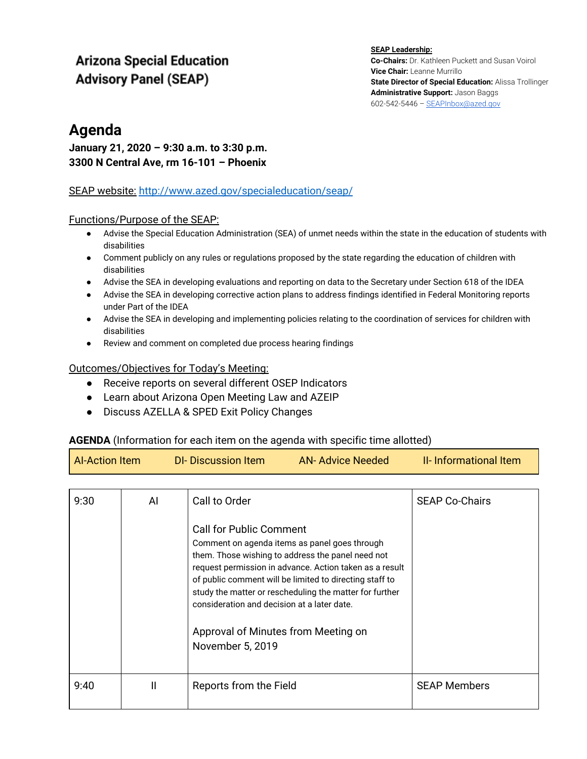## **Arizona Special Education Advisory Panel (SEAP)**

**SEAP Leadership: Co-Chairs:** Dr. Kathleen Puckett and Susan Voirol **Vice Chair:** Leanne Murrillo **State Director of Special Education:** Alissa Trollinger **Administrative Support:** Jason Baggs 602-542-5446 – [SEAPInbox@azed.gov](mailto:SEAPInbox@azed.gov)

## **Agenda**

## **January 21, 2020 – 9:30 a.m. to 3:30 p.m. 3300 N Central Ave, rm 16-101 – Phoenix**

### SEAP website[:](http://www.azed.gov/specialeducation/seap/) <http://www.azed.gov/specialeducation/seap/>

### Functions/Purpose of the SEAP:

- Advise the Special Education Administration (SEA) of unmet needs within the state in the education of students with disabilities
- Comment publicly on any rules or regulations proposed by the state regarding the education of children with disabilities
- Advise the SEA in developing evaluations and reporting on data to the Secretary under Section 618 of the IDEA
- Advise the SEA in developing corrective action plans to address findings identified in Federal Monitoring reports under Part of the IDEA
- Advise the SEA in developing and implementing policies relating to the coordination of services for children with disabilities
- Review and comment on completed due process hearing findings

### Outcomes/Objectives for Today's Meeting:

- Receive reports on several different OSEP Indicators
- Learn about Arizona Open Meeting Law and AZEIP
- Discuss AZELLA & SPED Exit Policy Changes

### **AGENDA** (Information for each item on the agenda with specific time allotted)

| <b>Al-Action Item</b> | DI-Discussion Item | AN-Advice Needed | <b>II-</b> Informational Item |
|-----------------------|--------------------|------------------|-------------------------------|
|                       |                    |                  |                               |

| 9:30 | AI | Call to Order<br><b>Call for Public Comment</b><br>Comment on agenda items as panel goes through<br>them. Those wishing to address the panel need not<br>request permission in advance. Action taken as a result<br>of public comment will be limited to directing staff to<br>study the matter or rescheduling the matter for further<br>consideration and decision at a later date.<br>Approval of Minutes from Meeting on<br>November 5, 2019 | <b>SEAP Co-Chairs</b> |
|------|----|--------------------------------------------------------------------------------------------------------------------------------------------------------------------------------------------------------------------------------------------------------------------------------------------------------------------------------------------------------------------------------------------------------------------------------------------------|-----------------------|
| 9:40 | Ш  | Reports from the Field                                                                                                                                                                                                                                                                                                                                                                                                                           | <b>SEAP Members</b>   |